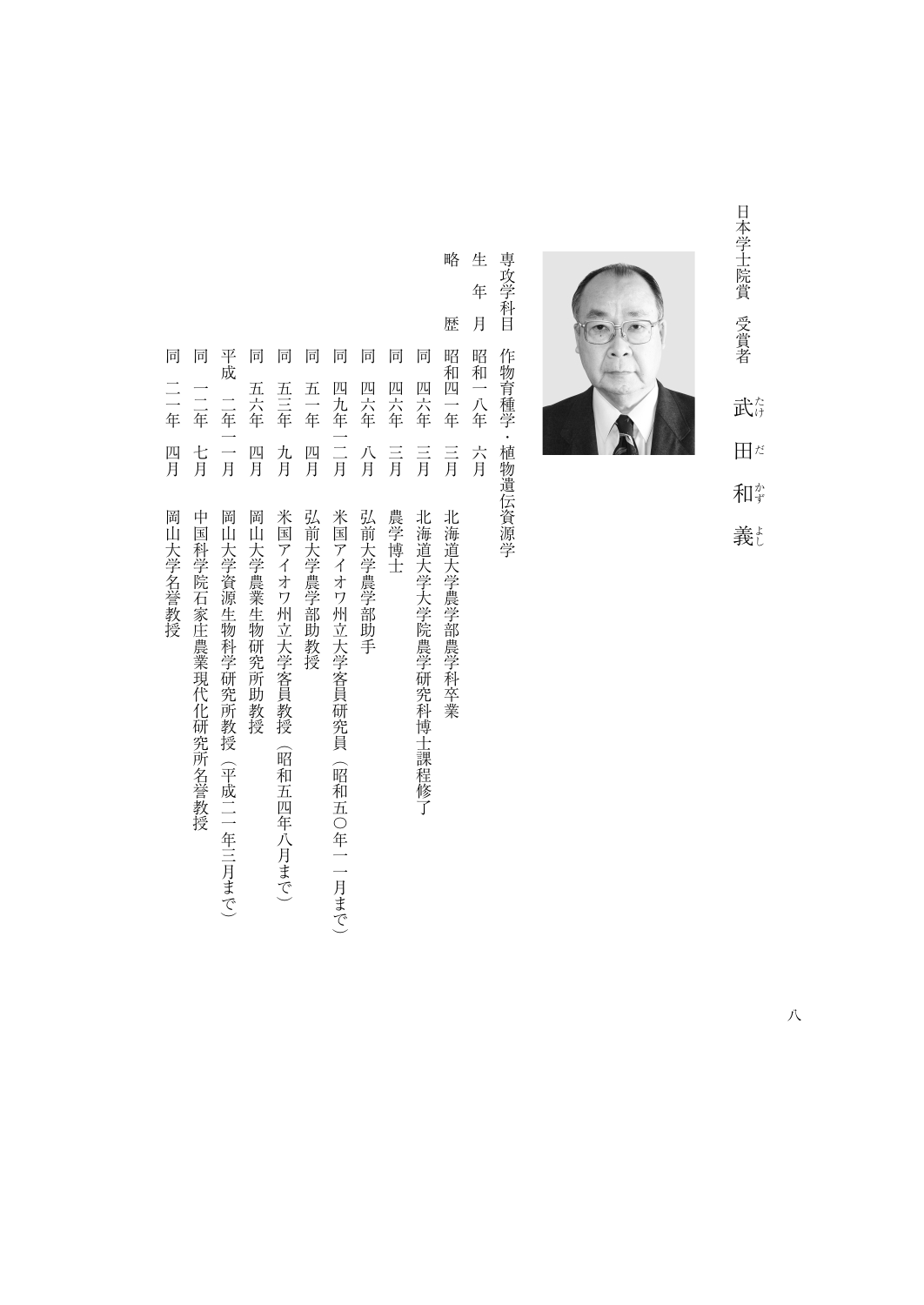日本学士院賞 受賞者 日本学生 エコーラ ライン・ラック 武彦 けいしょう こうしゃ こうしゃ こうしゃ こうしゃ アイ・プレーター こうしゃ アイ・プレーター こうしゃ アイ・プレーター こうしゃ アイ・プレーター こうしゃ アイ・プレーター アイ・プレーター かんりょう かんりょう  $\mathbb{H}^{\sharp}$ 和学

義



専攻学科目 - デジタンの学者・インタンの学者・インタンの学者・インタンの学者・インタンの学者・インタンの学者・インタンの学者・インタンの学者・インタンの学者・インタンの学者・インタンの学者・インタンの学者・イン 作物育種学·植物遺伝資源学

生 キャンピュータ しゅうしゅう しゅうしゅう しゅうしゅう しゅうしゅう しゅうしゅう しゅうしゅう しゅうしゅう しゅうしゅう しゅうしゅう しゅうしゅう しゅうしゅう 年 月 昭和一八年 六月

略

歴

- 略歴昭和四一年三月北海道大学農学部農学科卒業 同 平成 二年一一月 同 同 同 同 同 同 同 昭和四一年 一年七月中国科学院石家庄農業 | 中国科学院石家庄農業 | 中国科学院石家庄農業 | 中国科学院石家庄農業 | 中国科学院石家庄 同五六年四月岡山大学農業生物研究所助教授 同五十年 四月紀 一年四月紀 一年四月紀 一年四月紀 一年四月紀 一年四月紀 一年四月紀 一年四月 同四九年一二月米国アイオワ州立大学客員研究員(昭和五〇年一一月まで) 同四六年八月弘前大学農学部助手 同四六年三月農学博士 同四六年三月北海道大学大学院農学研究科博士課程修了 五六年 四六年 四六年 四六年 一二年 五三年 五一年 四九年一二月 七月 四月 九月 四月 八月  $\equiv$ 言 三月 岡山大学農業生物研究所助教授 米国アイオワ州立大学客員教授(昭和五四年八月まで) 弘前大学農学部助教授 米国アイオワ州立大学客員研究員(昭和五〇年一一月まで) 弘前大学農学部助手 農学博士 北海道大学大学院農学研究科博士課程修了 北海道大学農学部農学科卒業
	- アイオワ州立大学家 こうしゅうしゅ こうしゅう こうしゅう こうしゅう こうしゅう こうしゅう こうしゅう こうしゅう こうしゅう こうしゅう こうしゅう こうしゅう こうしゅう こうしゅう こうしゅう こうしゅう こうしゅう
	- 平成一年一月一月同日大学学研究所教授(平成二年三月まで)、平成二年三月まで)、平成二年三月まで)、平成二年三月まで)、平成二年三月まで)、平成二年三月まで)、平成二年三月まで)、平成二年三月まで、平成 岡山大学資源生物科学研究所教授(平成二一年三月まで)
- 中国科学院石家庄農業現代化研究所名誉教授
- 同二一年四月岡山大学名誉教授 二年 四月 岡山大学名誉教授

同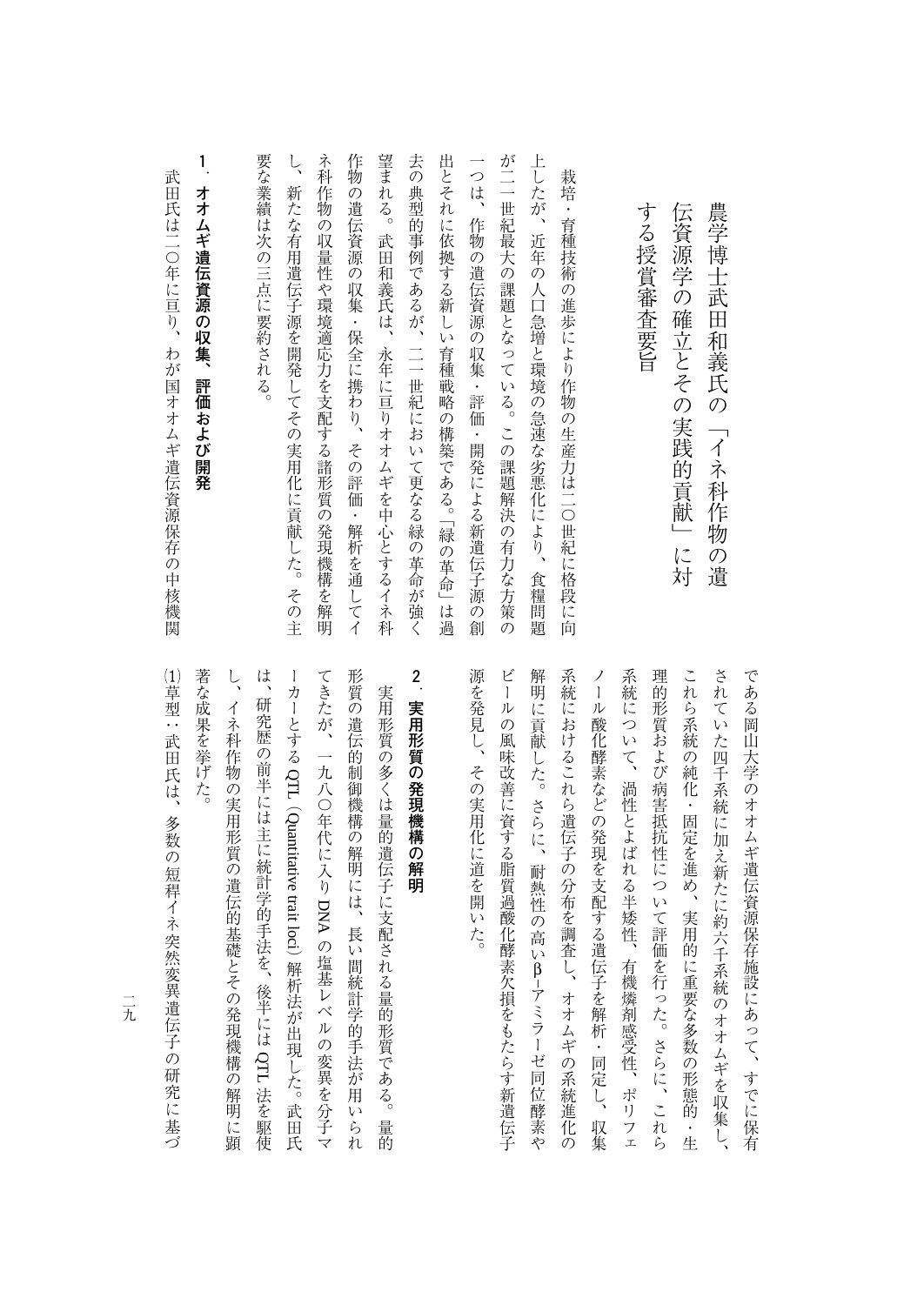武田氏は二〇年に亘り、わが国オオムギ遺伝資源保存の中核機関

武田氏は二〇年に亘り、わが国オオムギ遺伝資源保存の中核機関

これら系統の純化・固定を進め、実用的に重要な多数の形態的・生 されていた四千系統に加え新たに約六千系統のオオムギを収集し、 源を発見し、その実用化に道を開いた。 ビールの風味改善に資する脂質過酸化酵素欠損をもたらす新遺伝子 系統におけるこれら遺伝子の分布を調査し、オオムギの系統進化の 系統について、渦性とよばれる半矮性、有機燐剤感受性、ポリフェ 理的形質および病害抵抗性について評価を行った。さらに、これら である岡山大学のオオムギ遺伝資源保存施設にあって、すでに保有 ノール酸化酵素などの発現を支配する遺伝子を解析・同定し、収集 **2** 。<br>その実用化に通じている。 ビールの風味改善に資する脂質過酸化酵素欠損をもたらす新遺伝子 作品 しゅうしゅう しゅうしゅう しゅうしゅう しゅうしゅう しゅうしゅう しゅうしゅう しゅうしゅう しゅうしゅう しゅうしゅう しゅうしゅう しゅうしゅう しゅうしゅう しゅうしゅう しゅうしゃ 大統領におけることがあり、それは、オオムギの系統連合の分布を調査し、オオムギの糸布を製造化の糸布を製造化の糸布を製造化の糸布を製造化の糸布を製造化の糸布を製造化の糸布を製造化の糸布を製造化の糸布を製造化 ノール酸化酵素などの発現を支配する遺伝子を解析・同定し、収集 系統について、渦性とよばれる半矮性、有機燐剤感受性、ポリフェ 理的形質および病害抵抗性について評価を行った。さらに、これら これら系統の純化・固定を進め、実用的に重要な多数の形態的・生 されていた四千系統のオオムギを収集し、1986年に対大のオオムギを収集し、1986年に対大のオオムギを収集し、1986年に対大のオオム である岡山大学のオオムギ遺伝資源保存施設にあって、すでに保有 β–アミラーゼ同位酵素や

神社の こうしゅう こうしゅう こうしゅう あいしゅう こうしゅう しゅうしゅう しゅうしゅう しゅうしゅう しゅうしゅう しゅうしゅう しゅうしゅう しゅうしゅう しゅうしゅう しゅうしゅう しゅうしゅう しゅうしゅう

農学博士武田和義氏の「イネ科作物の遺

**スポーツの解明の解明の解明の解明の解明の解明の解明の解明の解明の解明の解明の解明の解明**の解明の解明の解明の解明の解明の解明の解明の解明の解明の解明の解明の解明の解明を解明しています。

 $\zeta$ 著な成果を挙げた。 は、研究歴の前半には主に統計学的手法を、後半には QTL 法を駆使 てきたが、一九八〇年代に入り DNA の塩基レベルの変異を分子マ 形質の遺伝的制御機構の解明には、長い間統計学的手法が用いられ 著な成果を挙げた。 し、イネ科作物の実用形質の構造の解剖に異なる。 しかい こうしゅう こうしゅう こうしゅう あいしゅう しゅうしゅう こうしゅう こうしゅう こうしゅう こうしゅう こうしゅう こうしゅう こうしゅう しょう はいしょう はんしゅう こうしゅう こうしゅう こうしゅう こうしゃ かんしゅう しゅうしゅ かんしゅう こうしゅう こうしゅう こうしゅう こうしゅう こうしゅう こうしゅう こうしゅう こうしゅう こうしゅう ーカーとするこれは こうしゃ こうしゃ こうしゃ こうしゃ しゅうしゃ しゅうしゃ しゅうしゃ しゅうしゃ から、その遺伝的制御機構の解明には、長い間統計学的手法が用いられている。 しゅうしゅう かんきょう かんしゅう かんしゅう かんしゅう かんしゅう かんしゅう かんしゅう 実用形質の多くは量的遺伝子に支配される量的形質である。量的 イネ科作物の実用形質の遺伝的基礎とその発現機構の解明に顕 大学の多くは違うには違うである。 こうしゅう こうしゅう こうしゅう こうしゅう こうしゅう こうしゅう こうしゅう こうしゅう こうしゅう こうしゅう こうしゅう QTL(ールー アルバー・シー Quantitative trait lociの塩基レベルの炭素と分子である。 しゅうしょう しゅうしょう しゅうしゅう しゅうしゅう しゅうしゅう しゅうしゅう しゅうしゅう しゅうしゅう しゅうしゅうしゅ ) ネット・ストール ストール・コーヒー しんしょう しんしゅう しゅうしゅう しゅうしゅう しゅうしゅう しゅうしゅう しゅうしゅう しゅうしゅう しゅうしゅう 法を駆使

(1)草型:武田氏は、多数の短稈イネ突然変異遺伝子の研究に基づ ‐型:武田氏は、多数の短稈イネ突然変異遺伝子の - キャンプ こうしゃ しゅうしゃ しゅうしゃ しゅうしゃ しゅうしゃ しゅうしゃ しゅうしゃ しゅうしゅう しゅうしゅう しゅうしゅう しゅうしゃ しゅうしゃ しゅうしゃ しゅうしゃ しゅうしゃ しゅうしゃ しゅうしゃ

二元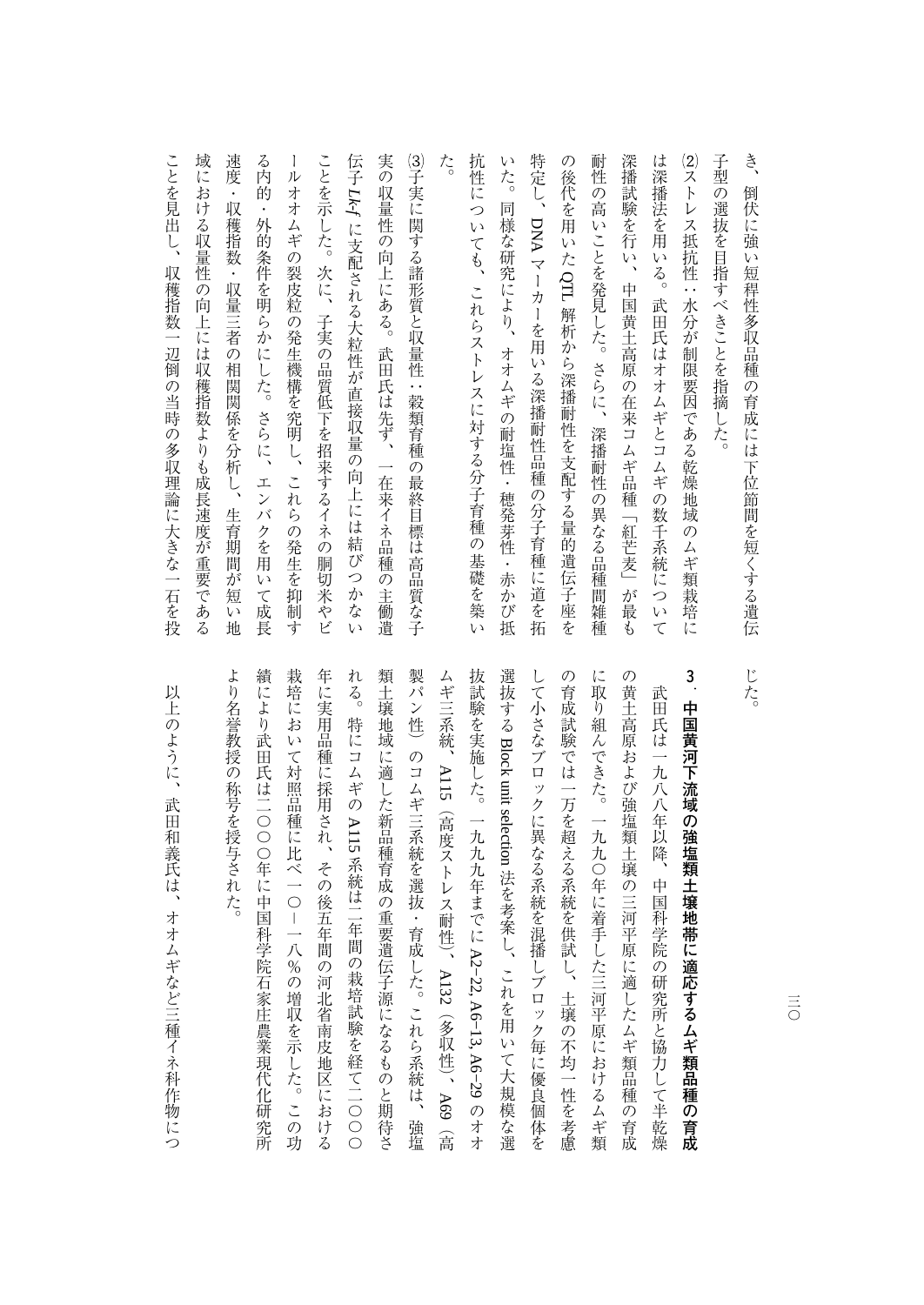| き、<br>倒伏に強い短稈性多収品種の育成には下位節間を短くする遺伝                          |
|-------------------------------------------------------------|
| 子型の選抜を目指すべきことを指摘した。                                         |
| (2)ストレス抵抗性:水分が制限要因である乾燥地域のムギ類栽培に                            |
| は深播法を用いる。<br>武田氏はオオムギとコムギの数千系統について                          |
| 深播試験を行い、中国黄土高原の在来コムギ品種「紅芒麦」が最も                              |
| 耐<br>性<br>の高いことを発見した。さらに、深播耐性の異なる品種間雑種                      |
| の<br>後代を用いた QTL 解析から深播耐性を支配する量的遺伝子座を                        |
| 特定し、DNA マーカーを用いる深播耐性品種の分子育種に道を拓                             |
| r y<br>た。<br>同様な研究により、<br>オオムギの耐塩性・穂発芽性<br>一・赤か、<br>び抵      |
| 抗性につ<br>$\mathfrak{c}$<br>ても、<br>これらストレスに対する分子育種の基礎を築<br>L) |
| た。                                                          |
| (3)子実に関する諸形質と収量性:穀類育種の最終目標は高品質な子                            |
| 実の収量性の向上にある。武田氏は先ず、一在来イネ品種<br>の主働遺                          |
| 伝子 Lk-f に支配される大粒性が直接収量の向上には結びつかな<br>V)                      |
| ことを示した。次に、子実の品質低下を招来するイネの胴切米やビ                              |
| 1<br>ルオオムギの裂皮粒の発生機構を究明し、<br>これらの発生を抑制す                      |
| る内的<br>・外的条件を明らかにした。さらに、エンバクを用いて成長                          |
| 速度<br>$\bullet$<br>収穫指数・収量三者の相関関係を分析し、生育期間が<br>短<br>V)<br>地 |
| 域における収量性の向上には収穫指数よりも成長速度が重要である                              |
| ことを見出し、<br>収穫指数一辺倒の当時の多収理論に大きな一石を投                          |

製パン性)のコムギ三系統を選抜・育成した。これら系統は、強塩 の黄土高原および強塩類土壌の三河平原に適したムギ類品種の育成 より名誉教授の称号を授与された。 績により武田氏は二〇〇〇年に中国科学院石家庄農業現代化研究所 栽培において対照品種に比べ一〇-一八%の増収を示した。この功 年に実用品種に採用され、その後五年間の河北省南皮地区における れる。特にコムギの A115 系統は二年間の栽培試験を経て二〇〇〇 類土壌地域に適した新品種育成の重要遺伝子源になるものと期待さ して小さなブロックに異なる系統を混播しブロック毎に優良個体を の育成試験では一万を超える系統を供試し、土壌の不均一性を考慮 に取り組んできた。一九九〇年に着手した三河平原におけるムギ類 ちょう かいしょう かいしょう かいしゅう かんしゅう かんしゅう かんしゅう かいしゅう かいしゅう かんしゅう かんしゅう かんしゅう かんしゅう かんしゅう かんしゅう 後には、この1000年には1000年に中国科学院石家庄農業現代化研究所では、1000年に中国科学院石家庄農業現代化研究所では1000年に中国科学院石家庄 ネキュー ストラン ストラン ストラン アルバー・シーク しゅうしゃ しゅうしゃ しゅうしゅう しゅうしゅう しゅうしゅう しゅうしゅう しゅうしゅうしゅう しゅうしゅうしゅ 年には、その後五年間の河北省南皮地区における「中国の河北省南皮地区における「中国の河北省南皮地区における「中国の河北省南皮地区における「中国の河北省南皮地区における「中国の河北省南皮地区 れる。特にコムギの 類土壌地域に適した新品種育成の重要遺伝子源になるものと期待さ 製パン性)のコムギ三系統を選抜・育成した。これら系統は、強塩 ムギ三系統、大戦隊の一九トルキャンストには、一九八年までには、一九八年までには、一九八年までには、一九八年までには、一九八年までには、一九八年までには、一九八年までには、一九八年までには、 選抜する して小さなブロックに異なる系統を混播しブロック毎に優良個体を の育成試験では、土壌の不均一性を持続し、土壌の不均一性を持続している。 しゅうしゅう しゅうしゅうしゅ に取り組んできた。これは「一九八〇年に着手した三河平原におけるムギ類」ということによる人群がある。これは「一九八〇年に着手した三河平原におけるムギ類」ということによる人群がある。 の黄土高原および強塩類土壌の三河平原に適したムギ類品種の育成 **3** 武田氏は一九八八年以降、中国科学院の研究所と協力して半乾燥 大和八年以降、中国科学院の研究所と協力して半<sub>彩機能</sub>の研究所と協力して半<sub>彩機能</sub>の研究所と協力して半<sub>彩機能</sub>の研究所と協力して半<sub>彩機能</sub>の **中国黄河下流域の強塩類土壌地帯に適応するムギ類品種の育成** BlockA115 unit selection (高度ストレス耐性) 、大将隊 おおとこ おおとこ こうしゅう あいしゅう こうしゅう こうしゅう こうしゅう こうしゅう こうしゅう こうしゅう こうしゅう こうしゅう こうしゅう こうしゃ こうしゅう こうしゅう こうしゃ こうしゃ こうしゃ 法を考案し、これを用いて大規模な選 「一ノ9の増功で元した。 この男 A2−22,A132A6-13, (多収性) 、 A6−29 A69(高

以上のように、武田和義氏は、オオムギなど三種イネ科作物につ いんじゅつ はんしゅう はんしゅう はんしゅう こうしゅう こうしゅう しゅうしゅう しゅうしゅう しゅうしゅう しゅうしゅう しゅうしゅう しゅうしゅう しゅうしゅう

 $\equiv$ 三〇

じた。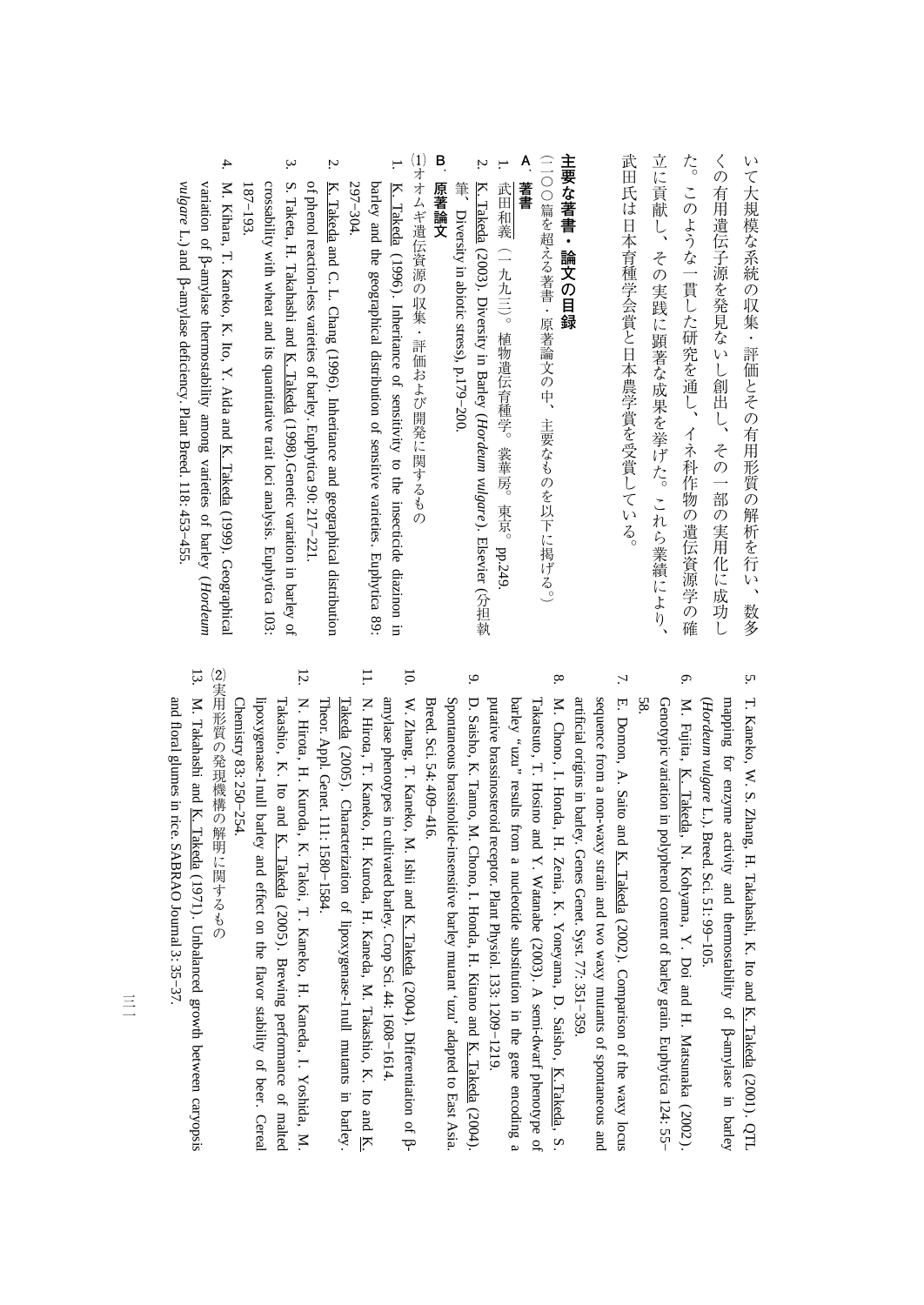立に貢献し、その実践に顕著な成果を挙げた。これら業績により、 た。このような一貫した研究を通し、イネ科作物の遺伝資源学の確 武田氏は日本育種学会賞と日本農学賞を受賞している。 くの有用遺伝子源を発見ないし創出し、その一部の実用化に成功し いて大規模な系統の収集・評価とその有用形質の解析を行い、数多 大田氏は日本農学賞を受賞している。 こうしゅう こうしゅうしゅ しゅうしゅう しゅうしゅう こに、その実践に関することが、これら、これら、これら業績により、これら業績により、これら業績により、これら業績により、これら業績により、これら業績により、これら業績により、これら業績により、これら業績 た。このような一貫した研究を通し、イネ科作物の遺伝資源学の遺伝資源学の遺伝資源学の構成を通し、イネ科作物の遺伝資源学の構成学の意味を通し、イネ科作物の遺伝資源学の構成学の意味を通し、イネ科作物の遺伝資 くの有用遺伝子源を発見ないし創出し、その一部の実用化に成功し いて大規模な系統の解析を行い、数多な系統の解析を行い、数多な系統の解析を行い、数多な系統の解析を行い、数多な系統の解析を行い、数多な系統の解析を行い、数多な系統の解析を行い、数多な系統の解析を行い、数

## 主要な著書・論文の目録 **その場合には、この場合の場合を制御している。**

(二〇〇篇を超える著書・原著論文の中、主要なものを以下に掲げる。) (二〇〇篇を超える著書・原著論文の中、主要なものを以下に掲げる。 )

## $\sum_{i=1}^{n}$ **著書**

- 1. 武田和義(一九九三)。植物遺伝育種学。裳華房。東京。 (一九七) 。唐京(一九七) 。唐京(一九) 。唐京(一九) 。唐京(一九) 。唐京(一九) 。唐京(一九) 。唐京(一九) 。唐京(一九) 。唐京(一九) 。唐京(一九) 。唐京(一九) 。唐京(一九) 。唐京(一九) 。唐京(一九) 。唐京(一九) 。唐京(一九) 。唐京(一九) 。唐京(一九) 。唐京(一九) 。唐京(一九) 。唐京(一九) 。唐京(一九) 。唐京(一九) 。唐京(一九) 。唐京(一九) 。唐京(一九) 。唐京(一九) pp.249.
- 2. K. Takeda (2003). Diversityi. Barley (*Hordeum vulgare* ). Elsevier (分担執 Diversity in abiotic stress),p.179−200.

## **B**原著論文 **原著論文**

(1)オオムギ遺伝資源の収集・評価および開発に関するもの オオムギ オムギ はいしょう こうしゅう こうしょう こうしゅう こうしょう こうしょう こうしょう こうしょう こうしょう こうしょう こうしょう

- ... 297-304. 297−304. barley and K. Takeda (1996). the geographical Inheritance distribution of sensitivity of sensitive to the varieties. insecticide Euphytica 89: diazinonin.
- 2. K. Takeda andີ<br>ຕ L. Chang (1996). Inheritance and geographical distribution of phenol reaction-less varieties $\mathbf{a}$  barley. Euphytica 90: 217−221.
- 3.crossability S. Taketa,187-193 187−193. H. with Takahashi wheat and and K. its quantitative Takeda (1998).Genetic trait loci analysis. variation Euphytica 103: in. barley<u>ຊ</u>
- 4. M. Kihara, T. Kaneko, K. Ito, Y. Aida and K. Takeda (1999). Geographical variation of β-amylase thermostability among varieties $\Omega$  barley (*Hordeum vulgare* L.) and β-amylase deficiency. Plant Breed. 118:453−455.

- 5. T. Kaneko, W. S. Zhang, H. Takahashi, K. Ito and K. Takeda (2001). QTL mapping for enzyme activity and thermostability<u>ຊ</u> β-amylasein. barley  $\overline{\phantom{0}}$ *Hordeum vulgare* L.).Breed. Sci. 51: 99−105.
- 6. M. Fujita, K. Takeda, N. Kohyama, $\preceq$  Doi and H. Matsunaka ( 2002 ) . 58. Genotypic variationin. polyphenol content<u>ຊ</u> barley grain.Euphytica 124: 55−
- 7. E. Domon, A. Saito and K. Takeda (2002). Comparison<u>ຊ</u> the waxy locus artificial originsin, barley. Genes Genet. Syst. 77: 351−359. sequence from a non-waxy strain and two waxy mutants of spontaneousand
- 8. M. Chono, I. Honda, H. Zenia, K. Yoneyama, D. Saisho, K.Takeda,S. putative brassinosteroid receptor. Plant Physiol. 133: 1209−1219. arley "uzu" results from a nucleotidesubstitutionin. the gene encoding a Takatsuto, T. Hosino and Y. Watanabe (2003). $\triangleright$ semi-dwarf phenotype<u>ຊ</u>
- 9. D. Saisho, K. Tanno, M. Chono, I. Honda, H. Kitano and K. Takeda (2004). Breed. Sci. 54: 409−416. Spontaneous brassinolide-insensitive barley mutant 'uzu' adapted to EastAsia.
- 10. W. Zhang, T. Kaneko, M. Ishii and K. Takeda (2004). Differentiation of βamylase phenotypesin, cultivated barley. Crop Sci. 44: 1608−1614.
- 11. N. Hirota, T. Kaneko, H. Kuroda, H. Kaneda, M. Takashio, K. Ito and K. Theor. Appl. Genet. 111: 1580−1584. Takeda (2005). Characterization $\Omega$  lipoxygenase-1 $\bar{E}$  mutantsin. barley .
- 12. N. Hirota, H. Kuroda, K. Takoi, T. Kaneko, H. Kaneda, I. Yoshida, M. Chemistry 83: 250−254. lipoxygenase-1null barley and effect on the flavor stability<u>ຊ</u> beer. Cereal Takashio, K. Ito and K. Takeda (2005). Brewing performance<u>ຊ</u> malted

(2)実用形質の発現機構の解明に関するもの 実用形質の発現機構の解明に関するもの

13. $\boxtimes$  Takahashi and K. Takeda (1971). Unbalanced growth between caryopsis and floral glumesin, rice. SABRAOJournal 3: 35−37.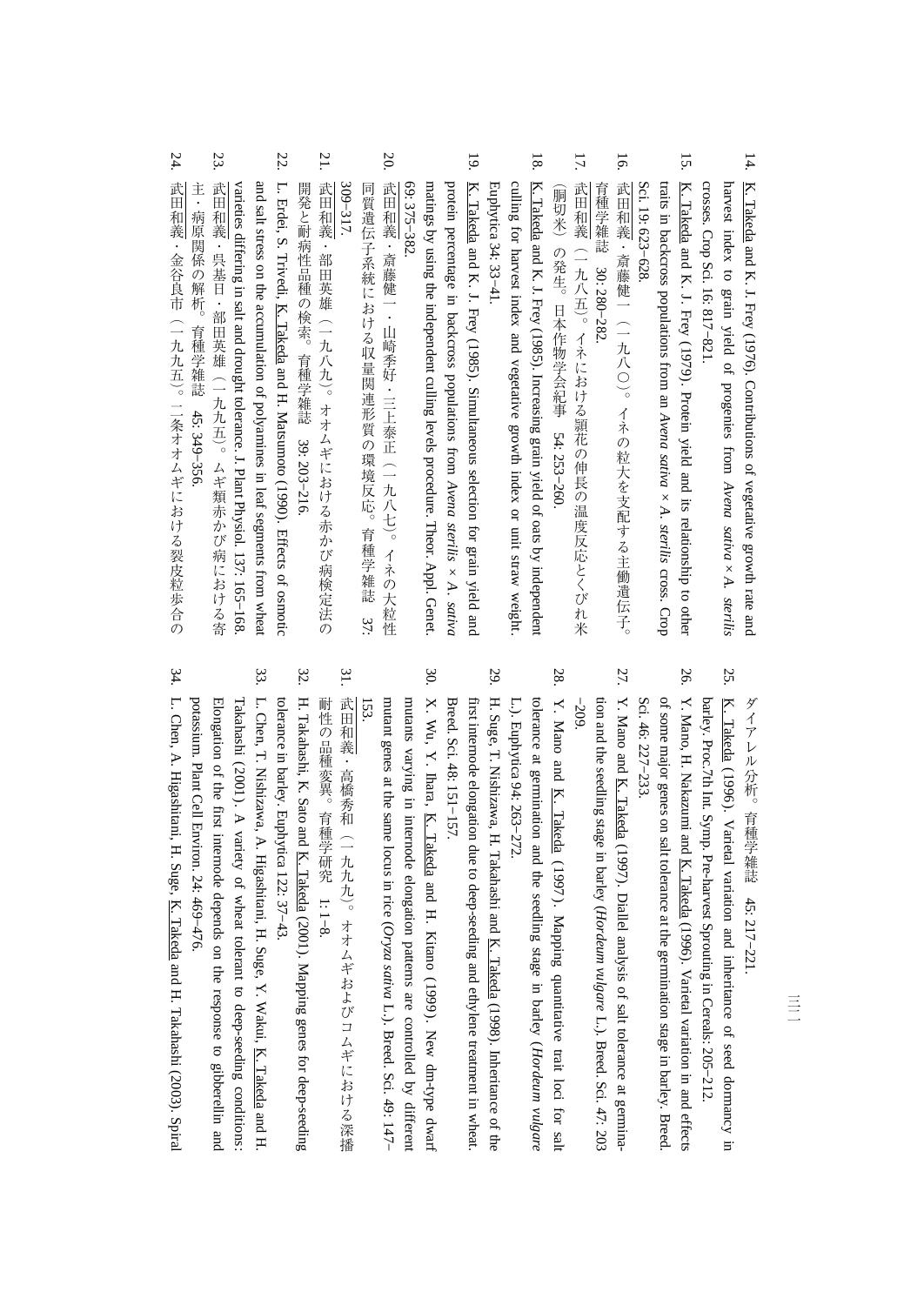- 14. K. Takeda and K. J. Frey (1976).**Contributions** <u>ຊ</u> vegetative growth rate and harvest index to grain yield<u>ຊ</u> progenies from *Avena sativa × A. sterilis* crosses. Crop Sci. 16: 817−821.
- 15. K. Takeda and K. J. Frey (1979). Protein yield and its relationship to other traitsin. backcross populations from an *Avena sativa × A. sterilis* cross. Crop Sci. 19: 623−628.
- 16. 武田和義・斎藤健一 (一九八〇)。イネの粒大を支配する主働遺伝子。 しゅうしゅ しゅうしゅう しゅうしゅう 武田和義・斎藤健一(一九八〇) 。イネの粒大を支配する主働遺伝子。 30: 280−282.
- 17. 武田和義(一九八五)。イネにおける頴花の伸長の温度反応とくびれ米 イン・スター こうしゃ こうしょう こうしゅう こうしゅう こうしゅう こうしゅう こうしゅう こうしゅう こうしゅう こうしゅう こうしゅう こうしゅう こうしゅう بمبر<br>... 253−260.

(胴切米)の発生。日本作物学会紀事

- 18. K. Takeda and K. J. Frey (1985). Increasing grain yield $\Omega$  oats $\mathsf{\tilde{a}}$  independent Euphytica 34: 33−41. culling for harvest index and vegetative growth index or unit strawweight.
- 19. K. Takeda and K. J. Frey (1985). Simultaneousselection for grain yield and protein percentagein, backcross populations from *Avena sterilis × A. sativa* 69: 375−382. matings by using the independent culling levels procedure. Theor.Appl. Genet.
- 20. 武田和義・斎藤健一・山崎季好・三上泰正(一九八七)。イネの大粒性 309-317. 309−317. 同質遺伝子系統における収量関連形質の環境反応。育種学雑誌 37: 同様な こうしょう こうしゅう こうしゅう こうしゅう こうしゅう こうしゅう こうしゅう こうしゅう こうしゅう こうしゅう こうしゅう こうしゅう こうしゅう 大杉 エストラン しゅうしゅう しゅうしゅ しゅうしゅう こうしゅう こうしゅう こうしゅう こうしゅう こうしゅう こうしゅう こうしゅう こうしゅう こうしゅう こうしゅう こうしゅう こうしゅう こうしゅう の環境反応。育種学雑誌
- 21. 武田和義・部田英雄 (一九八九)。オオムギにおける赤かび病検定法の 開発と耐病性品種の検索。育種学雑誌武田和義・部田英雄(一九八九) 。オオムギにおける赤かび病検定法の 39: 203−216.
- 22. L. Erdei, S. Trivedi, K. Takeda and H. Matsumoto (1990). Effects of osmotic varieties differing in salt and drought tolerance. J. Plant Physiol. 137: 165−168. and salt stress on the accumulation<u>ຊ</u> polyaminesin, leaf segments fromwheat
- 23. 武田和義・呉基日・部田英雄 (一九九五)。ムギ類赤かび病における寄 - これは、 あいしゃ あいしゃ こうしゅう こうしゅう こうしゃ 武田和義・呉基日・部田英雄(一九九五) 。ムギ類赤かび病における寄 45: 349−356.
- 24. 武田和義・金谷良市(一九九五)。二条オオムギにおける裂皮粒歩合の 大田の こうきょう こうきょう こうきょう こうきょう こうきょう こうきょう こうきょう こうきょう こうきょう

ダイアレル分析。育種学雑誌45: 217−221.

- 25. K. Takeda (1996). Varietal variation and inheritance of seed dormancyin. barley. Proc.7th Int. Symp. Pre-harvest Sproutingin, Cereals: 205−212.
- 26. Y. Mano, H. Nakazumi and K. Takeda (1996). Varietal variation in and effects Sci. 46: 227−233. of some major genes on salt tolerance at the germination stagein. barley.Breed.
- 27. Y. Mano and K. Takeda (1997). Diallel analysis of salt tolerance at germination and the seedling stagein. barley (*Hordeum vulgare* L.). Breed. Sci. 47: 203 −209.
- 28. Y. Mano and K. Takeda ( 1997 ) . Mapping quantitative trait loci for salt tolerance at germination and the seedling stage in barley (*Hordeum vulgare* L.). Euphytica 94: 263−272.
- 29. H. Suge, T. Nishizawa, H. Takahashi and K. Takeda (1998). Inheritance of the Breed. Sci. 48: 151−157. first internode elongationdue<br>B to deep-seeding and ethylene treatment inwheat.
- 30. X. Wu, Y. Ihara, K. Takeda and H. Kitano (1999). New dm-type dwarf mutant genes at the same locusin. rice ( *Oryza*mutants varyingin. internode elongation patterns are controlled $\mathsf{\tilde{a}}$  different  *sativa* L.). Breed. Sci. 49: 147− 153.
- 31. 武田和義・高橋秀和(一九九九)。オオムギおよびコムギにおける深播 「は、この品種学研究」ということがある。 大和 大和 法の スポーツ・スポーツ こうしゅうしゅ しゅうしゅうしゅ しゅうしゅうしゅ しゅうしゅうしゅ 1: 1−8.
- 32. H. Takahashi, K. Sato and K. Takeda (2001). Mapping genes for deep-seeding tolerancein. barley.Euphytica 122: 37−43.
- 33. L. Chen, T. Nishizawa, A. Higashitani, H. Suge, Y. Wakui, K. Takeda and H. potassium. Plant Cell Environ. 24: 469−476. Elongation<u>ຊ</u> the first internode depends on the response to gibberellin and Takahashi (2001). A variety of wheat tolerant $\overline{\sigma}$  deep-seedingconditions:
- 34. L. Chen, A. Higashitani, H. Suge, K. Takeda and H. Takahashi(2003). Spiral